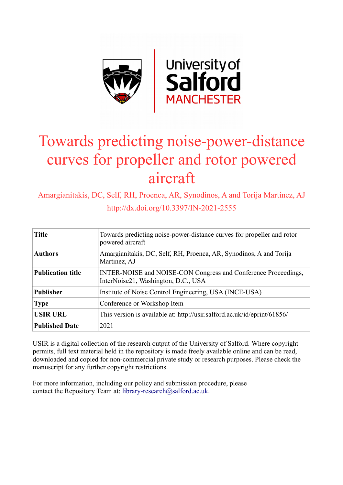

# Towards predicting noise-power-distance curves for propeller and rotor powered aircraft

Amargianitakis, DC, Self, RH, Proenca, AR, Synodinos, A and Torija Martinez, AJ http://dx.doi.org/10.3397/IN-2021-2555

| <b>Title</b>             | Towards predicting noise-power-distance curves for propeller and rotor<br>powered aircraft            |  |  |
|--------------------------|-------------------------------------------------------------------------------------------------------|--|--|
| <b>Authors</b>           | Amargianitakis, DC, Self, RH, Proenca, AR, Synodinos, A and Torija<br>Martinez, AJ                    |  |  |
| <b>Publication title</b> | INTER-NOISE and NOISE-CON Congress and Conference Proceedings,<br>InterNoise21, Washington, D.C., USA |  |  |
| <b>Publisher</b>         | Institute of Noise Control Engineering, USA (INCE-USA)                                                |  |  |
| <b>Type</b>              | Conference or Workshop Item                                                                           |  |  |
| <b>USIR URL</b>          | This version is available at: http://usir.salford.ac.uk/id/eprint/61856/                              |  |  |
| <b>Published Date</b>    | 2021                                                                                                  |  |  |

USIR is a digital collection of the research output of the University of Salford. Where copyright permits, full text material held in the repository is made freely available online and can be read, downloaded and copied for non-commercial private study or research purposes. Please check the manuscript for any further copyright restrictions.

For more information, including our policy and submission procedure, please contact the Repository Team at: [library-research@salford.ac.uk.](mailto:library-research@salford.ac.uk)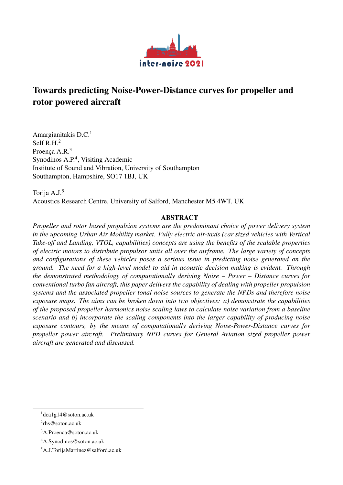

# Towards predicting Noise-Power-Distance curves for propeller and rotor powered aircraft

Amargianitakis D.C.<sup>[1](#page-1-0)</sup> Self R.H.<sup>[2](#page-1-1)</sup> Proenca A.R.<sup>[3](#page-1-2)</sup> Synodinos A.P.<sup>[4](#page-1-3)</sup>, Visiting Academic Institute of Sound and Vibration, University of Southampton Southampton, Hampshire, SO17 1BJ, UK

Torija A.J.[5](#page-1-4) Acoustics Research Centre, University of Salford, Manchester M5 4WT, UK

# ABSTRACT

*Propeller and rotor based propulsion systems are the predominant choice of power delivery system in the upcoming Urban Air Mobility market. Fully electric air-taxis (car sized vehicles with Vertical Take-o*ff *and Landing, VTOL, capabilities) concepts are using the benefits of the scalable properties of electric motors to distribute propulsor units all over the airframe. The large variety of concepts and configurations of these vehicles poses a serious issue in predicting noise generated on the ground. The need for a high-level model to aid in acoustic decision making is evident. Through the demonstrated methodology of computationally deriving Noise – Power – Distance curves for conventional turbo fan aircraft, this paper delivers the capability of dealing with propeller propulsion systems and the associated propeller tonal noise sources to generate the NPDs and therefore noise exposure maps. The aims can be broken down into two objectives: a) demonstrate the capabilities of the proposed propeller harmonics noise scaling laws to calculate noise variation from a baseline scenario and b) incorporate the scaling components into the larger capability of producing noise exposure contours, by the means of computationally deriving Noise-Power-Distance curves for propeller power aircraft. Preliminary NPD curves for General Aviation sized propeller power aircraft are generated and discussed.*

<span id="page-1-0"></span> $1$ dca1g14@soton.ac.uk

<span id="page-1-1"></span><sup>2</sup> rhs@soton.ac.uk

<span id="page-1-2"></span><sup>3</sup>A.Proenca@soton.ac.uk

<span id="page-1-3"></span><sup>4</sup>A.Synodinos@soton.ac.uk

<span id="page-1-4"></span><sup>5</sup>A.J.TorijaMartinez@salford.ac.uk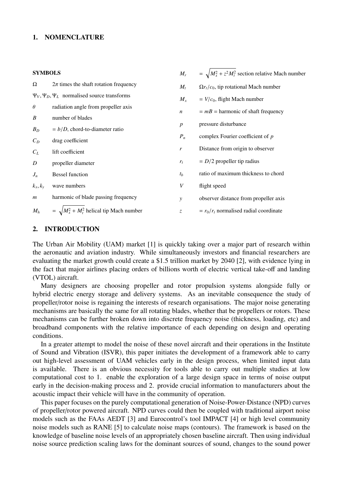#### 1. NOMENCLATURE

#### $SVM$

| <b>SYMBOLS</b>   |                                                       | $M_r$            | $=\sqrt{M_x^2 + z^2 M_t^2}$ section relative Mach number |
|------------------|-------------------------------------------------------|------------------|----------------------------------------------------------|
| Ω                | $2\pi$ times the shaft rotation frequency             | $M_t$            | $\Omega r_t/c_0$ , tip rotational Mach number            |
|                  | $\Psi_V, \Psi_D, \Psi_L$ normalised source transforms | $M_{x}$          | $=$ $V/c0$ , flight Mach number                          |
| $\theta$         | radiation angle from propeller axis                   | $\boldsymbol{n}$ | $= mB =$ harmonic of shaft frequency                     |
| $\boldsymbol{B}$ | number of blades                                      |                  |                                                          |
| $B_D$            | $= b/D$ , chord-to-diameter ratio                     |                  | pressure disturbance                                     |
| $C_D$            | drag coefficient                                      | $P_n$            | complex Fourier coefficient of $p$                       |
| $C_L$            | lift coefficient                                      | $\mathbf{r}$     | Distance from origin to observer                         |
| D                | propeller diameter                                    | $r_t$            | $= D/2$ propeller tip radius                             |
| $J_n$            | <b>Bessel function</b>                                | $t_{h}$          | ratio of maximum thickness to chord                      |
| $k_x, k_y$       | wave numbers                                          | V                | flight speed                                             |
| $\mathfrak{m}$   | harmonic of blade passing frequency                   | $\mathcal{Y}$    | observer distance from propeller axis                    |
| $M_h$            | $=\sqrt{M_x^2+M_t^2}$ helical tip Mach number         | $\mathcal{Z}$    | $= r_0/r_t$ normalised radial coordinate                 |
|                  |                                                       |                  |                                                          |

#### 2. INTRODUCTION

The Urban Air Mobility (UAM) market [\[1\]](#page-11-0) is quickly taking over a major part of research within the aeronautic and aviation industry. While simultaneously investors and financial researchers are evaluating the market growth could create a \$1.5 trillion market by 2040 [\[2\]](#page-11-1), with evidence lying in the fact that major airlines placing orders of billions worth of electric vertical take-off and landing (VTOL) aircraft.

Many designers are choosing propeller and rotor propulsion systems alongside fully or hybrid electric energy storage and delivery systems. As an inevitable consequence the study of propeller/rotor noise is regaining the interests of research organisations. The major noise generating mechanisms are basically the same for all rotating blades, whether that be propellers or rotors. These mechanisms can be further broken down into discrete frequency noise (thickness, loading, etc) and broadband components with the relative importance of each depending on design and operating conditions.

In a greater attempt to model the noise of these novel aircraft and their operations in the Institute of Sound and Vibration (ISVR), this paper initiates the development of a framework able to carry out high-level assessment of UAM vehicles early in the design process, when limited input data is available. There is an obvious necessity for tools able to carry out multiple studies at low computational cost to 1. enable the exploration of a large design space in terms of noise output early in the decision-making process and 2. provide crucial information to manufacturers about the acoustic impact their vehicle will have in the community of operation.

This paper focuses on the purely computational generation of Noise-Power-Distance (NPD) curves of propeller/rotor powered aircraft. NPD curves could then be coupled with traditional airport noise models such as the FAAs AEDT [\[3\]](#page-11-2) and Eurocontrol's tool IMPACT [\[4\]](#page-11-3) or high level community noise models such as RANE [\[5\]](#page-11-4) to calculate noise maps (contours). The framework is based on the knowledge of baseline noise levels of an appropriately chosen baseline aircraft. Then using individual noise source prediction scaling laws for the dominant sources of sound, changes to the sound power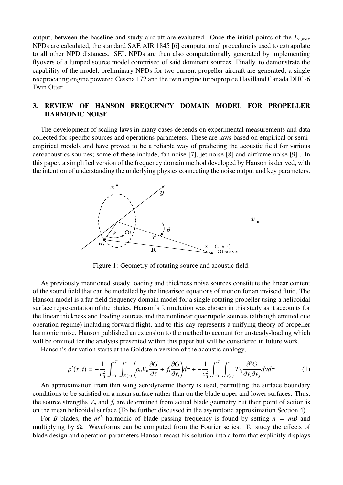output, between the baseline and study aircraft are evaluated. Once the initial points of the *<sup>L</sup><sup>A</sup>*,*max* NPDs are calculated, the standard SAE AIR 1845 [\[6\]](#page-11-5) computational procedure is used to extrapolate to all other NPD distances. SEL NPDs are then also computationally generated by implementing flyovers of a lumped source model comprised of said dominant sources. Finally, to demonstrate the capability of the model, preliminary NPDs for two current propeller aircraft are generated; a single reciprocating engine powered Cessna 172 and the twin engine turboprop de Havilland Canada DHC-6 Twin Otter.

# 3. REVIEW OF HANSON FREQUENCY DOMAIN MODEL FOR PROPELLER HARMONIC NOISE

The development of scaling laws in many cases depends on experimental measurements and data collected for specific sources and operations parameters. These are laws based on empirical or semiempirical models and have proved to be a reliable way of predicting the acoustic field for various aeroacoustics sources; some of these include, fan noise [\[7\]](#page-11-6), jet noise [\[8\]](#page-11-7) and airframe noise [\[9\]](#page-12-0) . In this paper, a simplified version of the frequency domain method developed by Hanson is derived, with the intention of understanding the underlying physics connecting the noise output and key parameters.



Figure 1: Geometry of rotating source and acoustic field.

As previously mentioned steady loading and thickness noise sources constitute the linear content of the sound field that can be modelled by the linearised equations of motion for an inviscid fluid. The Hanson model is a far-field frequency domain model for a single rotating propeller using a helicoidal surface representation of the blades. Hanson's formulation was chosen in this study as it accounts for the linear thickness and loading sources and the nonlinear quadrupole sources (although emitted due operation regime) including forward flight, and to this day represents a unifying theory of propeller harmonic noise. Hanson published an extension to the method to account for unsteady-loading which will be omitted for the analysis presented within this paper but will be considered in future work.

Hanson's derivation starts at the Goldstein version of the acoustic analogy,

$$
\rho'(x,t) = -\frac{1}{c_0^2} \int_{-T}^{T} \int_{S(\tau)} \left( \rho_0 V_n \frac{\partial G}{\partial \tau} + f_i \frac{\partial G}{\partial y_i} \right) d\tau + -\frac{1}{c_0^2} \int_{-T}^{T} \int_{\nu(\tau)} T_{ij} \frac{\partial^2 G}{\partial y_i \partial y_j} dy d\tau \tag{1}
$$

An approximation from thin wing aerodynamic theory is used, permitting the surface boundary conditions to be satisfied on a mean surface rather than on the blade upper and lower surfaces. Thus, the source strengths  $V_n$  and  $f_i$  are determined from actual blade geometry but their point of action is on the mean helicoidal surface (To be further discussed in the asymptotic approximation Section [4\)](#page-4-0).

For *B* blades, the  $m<sup>th</sup>$  harmonic of blade passing frequency is found by setting  $n = mB$  and multiplying by  $\Omega$ . Waveforms can be computed from the Fourier series. To study the effects of blade design and operation parameters Hanson recast his solution into a form that explicitly displays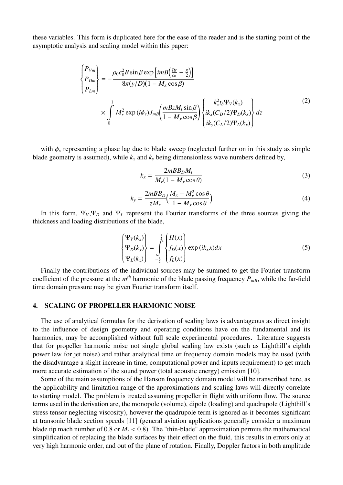<span id="page-4-1"></span>these variables. This form is duplicated here for the ease of the reader and is the starting point of the asymptotic analysis and scaling model within this paper:

$$
\begin{cases}\nP_{Vm} \\
P_{Dm} \\
P_{Lm}\n\end{cases} = -\frac{\rho_0 c_0^2 B \sin \beta \exp \left[imB\left(\frac{\Omega r}{c_0} - \frac{\pi}{2}\right)\right]}{8\pi (y/D)(1 - M_x \cos \beta)} \\
\times \int_0^1 M_r^2 \exp (i\phi_s) J_{mB} \left(\frac{mBzM_t \sin \beta}{1 - M_x \cos \beta}\right) \begin{Bmatrix} k_x^2 t_b \Psi_V(k_x) \\
ik_x (C_D/2) \Psi_D(k_x) \\
ik_y (C_L/2) \Psi_L(k_x)\n\end{Bmatrix} dz
$$
\n(2)

with  $\phi_s$  representing a phase lag due to blade sweep (neglected further on in this study as simple blade geometry is assumed), while  $k_x$  and  $k_y$  being dimensionless wave numbers defined by,

$$
k_x = \frac{2mBB_D M_t}{M_r (1 - M_x \cos \theta)}
$$
(3)

$$
k_{y} = \frac{2mBB_{D}}{zM_{r}} \Big(\frac{M_{x} - M_{r}^{2}\cos\theta}{1 - M_{x}\cos\theta}\Big)
$$
(4)

In this form, Ψ*V*,Ψ*<sup>D</sup>* and Ψ*<sup>L</sup>* represent the Fourier transforms of the three sources giving the thickness and loading distributions of the blade,

$$
\begin{Bmatrix}\n\Psi_V(k_x) \\
\Psi_D(k_x) \\
\Psi_L(k_x)\n\end{Bmatrix} = \int_{-\frac{1}{2}}^{\frac{1}{2}} \begin{Bmatrix}\nH(x) \\
f_D(x) \\
f_L(x)\n\end{Bmatrix} \exp(ik_x x) dx
$$
\n(5)

Finally the contributions of the individual sources may be summed to get the Fourier transform coefficient of the pressure at the  $m<sup>th</sup>$  harmonic of the blade passing frequency  $P_{mB}$ , while the far-field time domain pressure may be given Fourier transform itself.

#### <span id="page-4-0"></span>4. SCALING OF PROPELLER HARMONIC NOISE

The use of analytical formulas for the derivation of scaling laws is advantageous as direct insight to the influence of design geometry and operating conditions have on the fundamental and its harmonics, may be accomplished without full scale experimental procedures. Literature suggests that for propeller harmonic noise not single global scaling law exists (such as Lighthill's eighth power law for jet noise) and rather analytical time or frequency domain models may be used (with the disadvantage a slight increase in time, computational power and inputs requirement) to get much more accurate estimation of the sound power (total acoustic energy) emission [\[10\]](#page-12-1).

Some of the main assumptions of the Hanson frequency domain model will be transcribed here, as the applicability and limitation range of the approximations and scaling laws will directly correlate to starting model. The problem is treated assuming propeller in flight with uniform flow. The source terms used in the derivation are, the monopole (volume), dipole (loading) and quadrupole (Lighthill's stress tensor neglecting viscosity), however the quadrupole term is ignored as it becomes significant at transonic blade section speeds [\[11\]](#page-12-2) (general aviation applications generally consider a maximum blade tip mach number of 0.8 or  $M_t$  < 0.8). The "thin-blade" approximation permits the mathematical simplification of replacing the blade surfaces by their effect on the fluid, this results in errors only at very high harmonic order, and out of the plane of rotation. Finally, Doppler factors in both amplitude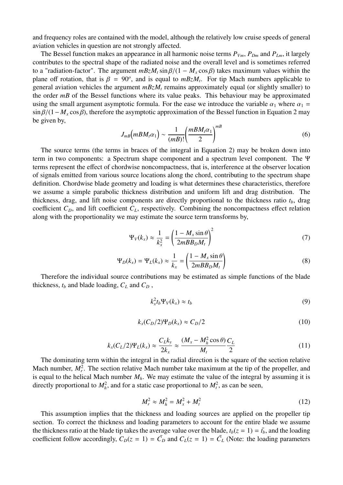and frequency roles are contained with the model, although the relatively low cruise speeds of general aviation vehicles in question are not strongly affected.

The Bessel function makes an appearance in all harmonic noise terms  $P_{Vm}$ ,  $P_{Dm}$  and  $P_{Lm}$ , it largely contributes to the spectral shape of the radiated noise and the overall level and is sometimes referred to a "radiation-factor". The argument  $mBzM_t \sin \beta/(1 - M_x \cos \beta)$  takes maximum values within the plane off rotation, that is  $\beta = 90^\circ$ , and is equal to  $mBzM_t$ . For tip Mach numbers applicable to general aviation vehicles the argument  $mBzM$  remains approximately equal (or slightly smaller) to general aviation vehicles the argument *mBzM<sup>t</sup>* remains approximately equal (or slightly smaller) to the order *mB* of the Bessel functions where its value peaks. This behaviour may be approximated using the small argument asymptotic formula. For the ease we introduce the variable  $\alpha_1$  where  $\alpha_1$  =  $\sin \beta/(1-M_x \cos \beta)$ , therefore the asymptotic approximation of the Bessel function in Equation [2](#page-4-1) may be given by,

$$
J_{m}(\mathit{mBM}_t \alpha_1) \sim \frac{1}{(m \mathit{B})!} \left(\frac{\mathit{mBM}_t \alpha_1}{2}\right)^{m \mathit{B}} \tag{6}
$$

The source terms (the terms in braces of the integral in Equation [2\)](#page-4-1) may be broken down into term in two components: a Spectrum shape component and a spectrum level component. The Ψ terms represent the effect of chordwise noncompactness, that is, interference at the observer location of signals emitted from various source locations along the chord, contributing to the spectrum shape definition. Chordwise blade geometry and loading is what determines these characteristics, therefore we assume a simple parabolic thickness distribution and uniform lift and drag distribution. The thickness, drag, and lift noise components are directly proportional to the thickness ratio *tb*, drag coefficient  $C_D$ , and lift coefficient  $C_L$ , respectively. Combining the noncompactness effect relation along with the proportionality we may estimate the source term transforms by,

$$
\Psi_V(k_x) \approx \frac{1}{k_x^2} = \left(\frac{1 - M_x \sin \theta}{2mBB_D M_t}\right)^2 \tag{7}
$$

$$
\Psi_D(k_x) = \Psi_L(k_x) \approx \frac{1}{k_x} = \left(\frac{1 - M_x \sin \theta}{2mBB_D M_t}\right)
$$
(8)

Therefore the individual source contributions may be estimated as simple functions of the blade thickness,  $t_b$  and blade loading,  $C_L$  and  $C_D$ ,

$$
k_x^2 t_b \Psi_V(k_x) \approx t_b \tag{9}
$$

$$
k_x(C_D/2)\Psi_D(k_x) \approx C_D/2\tag{10}
$$

$$
k_x(C_L/2)\Psi_L(k_x) \approx \frac{C_L k_y}{2k_x} \approx \frac{(M_x - M_h^2 \cos \theta)}{M_t} \frac{C_L}{2}
$$
 (11)

The dominating term within the integral in the radial direction is the square of the section relative Mach number,  $M_r^2$ . The section relative Mach number take maximum at the tip of the propeller, and is equal to the helical Mach number  $M_h$ . We may estimate the value of the integral by assuming it is directly proportional to  $M_h^2$ , and for a static case proportional to  $M_t^2$ , as can be seen,

$$
M_r^2 \approx M_h^2 = M_x^2 + M_t^2
$$
 (12)

This assumption implies that the thickness and loading sources are applied on the propeller tip section. To correct the thickness and loading parameters to account for the entire blade we assume the thickness ratio at the blade tip takes the average value over the blade,  $t_b(z = 1) = \bar{t}_b$ , and the loading coefficient follow accordingly,  $C_D(z = 1) = \bar{C}_D$  and  $C_L(z = 1) = \bar{C}_L$  (Note: the loading parameters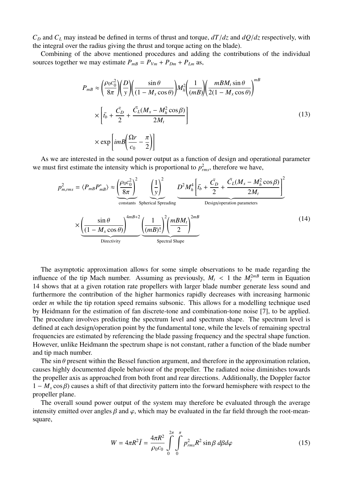$C_D$  and  $C_L$  may instead be defined in terms of thrust and torque,  $dT/dz$  and  $dQ/dz$  respectively, with the integral over the radius giving the thrust and torque acting on the blade).

Combining of the above mentioned procedures and adding the contributions of the individual sources together we may estimate  $P_{mB} = P_{Vm} + P_{Dm} + P_{Lm}$  as,

<span id="page-6-0"></span>
$$
P_{m} = \left(\frac{\rho_0 c_0^2}{8\pi}\right) \left(\frac{D}{y}\right) \left(\frac{\sin \theta}{(1 - M_x \cos \theta)}\right) M_h^2 \left(\frac{1}{(mB)}\right) \left(\frac{mBM_t \sin \theta}{2(1 - M_x \cos \theta)}\right)^{mB}
$$

$$
\times \left[\bar{t}_b + \frac{\bar{C}_D}{2} + \frac{\bar{C}_L (M_x - M_h^2 \cos \beta)}{2M_t}\right]
$$

$$
\times \exp\left[i mB \left(\frac{\Omega r}{c_0} - \frac{\pi}{2}\right)\right]
$$
(13)

As we are interested in the sound power output as a function of design and operational parameter we must first estimate the intensity which is proportional to  $p_{rms}^2$ , therefore we have,

$$
p_{m,rms}^{2} = \langle P_{mB} P_{mB}^{*} \rangle \approx \underbrace{\left(\frac{\rho_{0} c_{0}^{2}}{8\pi}\right)^{2}}_{\text{constants}} \underbrace{\left(\frac{1}{y}\right)^{2}}_{\text{Spherical Spreading}} \underbrace{D^{2} M_{h}^{4} \left[\bar{t}_{b} + \frac{\bar{C}_{D}}{2} + \frac{\bar{C}_{L} (M_{x} - M_{h}^{2} \cos \beta)}{2M_{t}}\right]^{2}}_{\text{Design/operation parameters}}
$$
\n
$$
\times \underbrace{\left(\frac{\sin \theta}{(1 - M_{x} \cos \theta)}\right)^{4mB+2} \left(\frac{1}{(mB)!}\right)^{2} \left(\frac{mBM_{t}}{2}\right)^{2mB}}_{\text{Spectral Shape}} \tag{14}
$$

The asymptotic approximation allows for some simple observations to be made regarding the influence of the tip Mach number. Assuming as previously,  $M_t < 1$  the  $M_t^{2m}$  term in Equation<br>14 shows that at a given rotation rate propellers with larger blade number generate less sound and [14](#page-6-0) shows that at a given rotation rate propellers with larger blade number generate less sound and furthermore the contribution of the higher harmonics rapidly decreases with increasing harmonic order *m* while the tip rotation speed remains subsonic. This allows for a modelling technique used by Heidmann for the estimation of fan discrete-tone and combination-tone noise [\[7\]](#page-11-6), to be applied. The procedure involves predicting the spectrum level and spectrum shape. The spectrum level is defined at each design/operation point by the fundamental tone, while the levels of remaining spectral frequencies are estimated by referencing the blade passing frequency and the spectral shape function. However, unlike Heidmann the spectrum shape is not constant, rather a function of the blade number and tip mach number.

The sin  $\theta$  present within the Bessel function argument, and therefore in the approximation relation, causes highly documented dipole behaviour of the propeller. The radiated noise diminishes towards the propeller axis as approached from both front and rear directions. Additionally, the Doppler factor  $1 - M<sub>x</sub> \cos \beta$ ) causes a shift of that directivity pattern into the forward hemisphere with respect to the propeller plane.

The overall sound power output of the system may therefore be evaluated through the average intensity emitted over angles  $\beta$  and  $\varphi$ , which may be evaluated in the far field through the root-meansquare,

$$
W = 4\pi R^2 \bar{I} = \frac{4\pi R^2}{\rho_0 c_0} \int_{0}^{2\pi} \int_{0}^{\pi} p_{rms}^2 R^2 \sin\beta \, d\beta d\varphi \tag{15}
$$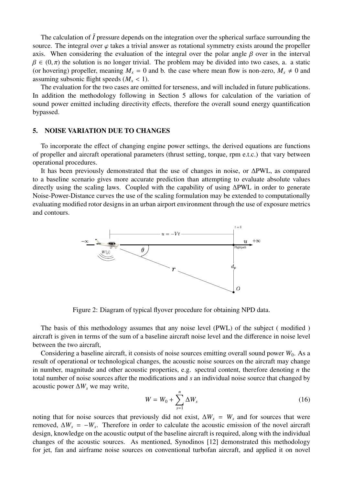The calculation of  $\bar{I}$  pressure depends on the integration over the spherical surface surrounding the source. The integral over  $\varphi$  takes a trivial answer as rotational symmetry exists around the propeller axis. When considering the evaluation of the integral over the polar angle  $\beta$  over in the interval  $\beta \in (0,\pi)$  the solution is no longer trivial. The problem may be divided into two cases, a. a static (or hovering) propeller, meaning  $M_x = 0$  and b. the case where mean flow is non-zero,  $M_x \neq 0$  and assuming subsonic flight speeds  $(M<sub>x</sub> < 1)$ .

The evaluation for the two cases are omitted for terseness, and will included in future publications. In addition the methodology following in Section [5](#page-7-0) allows for calculation of the variation of sound power emitted including directivity effects, therefore the overall sound energy quantification bypassed.

#### <span id="page-7-0"></span>5. NOISE VARIATION DUE TO CHANGES

To incorporate the effect of changing engine power settings, the derived equations are functions of propeller and aircraft operational parameters (thrust setting, torque, rpm e.t.c.) that vary between operational procedures.

It has been previously demonstrated that the use of changes in noise, or ∆PWL, as compared to a baseline scenario gives more accurate prediction than attempting to evaluate absolute values directly using the scaling laws. Coupled with the capability of using ∆PWL in order to generate Noise-Power-Distance curves the use of the scaling formulation may be extended to computationally evaluating modified rotor designs in an urban airport environment through the use of exposure metrics and contours.



Figure 2: Diagram of typical flyover procedure for obtaining NPD data.

The basis of this methodology assumes that any noise level (PWL) of the subject ( modified ) aircraft is given in terms of the sum of a baseline aircraft noise level and the difference in noise level between the two aircraft,

Considering a baseline aircraft, it consists of noise sources emitting overall sound power  $W_0$ . As a result of operational or technological changes, the acoustic noise sources on the aircraft may change in number, magnitude and other acoustic properties, e.g. spectral content, therefore denoting *n* the total number of noise sources after the modifications and *s* an individual noise source that changed by acoustic power  $\Delta W_s$  we may write,

$$
W = W_0 + \sum_{s=1}^{n} \Delta W_s \tag{16}
$$

noting that for noise sources that previously did not exist, ∆*W<sup>s</sup>* = *W<sup>s</sup>* and for sources that were removed,  $\Delta W_s = -W_s$ . Therefore in order to calculate the acoustic emission of the novel aircraft design, knowledge on the acoustic output of the baseline aircraft is required, along with the individual changes of the acoustic sources. As mentioned, Synodinos [\[12\]](#page-12-3) demonstrated this methodology for jet, fan and airframe noise sources on conventional turbofan aircraft, and applied it on novel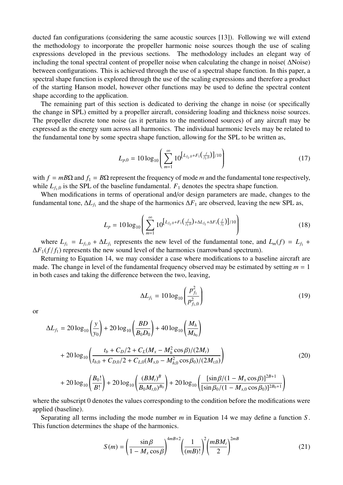ducted fan configurations (considering the same acoustic sources [\[13\]](#page-12-4)). Following we will extend the methodology to incorporate the propeller harmonic noise sources though the use of scaling expressions developed in the previous sections. The methodology includes an elegant way of including the tonal spectral content of propeller noise when calculating the change in noise( ∆Noise) between configurations. This is achieved through the use of a spectral shape function. In this paper, a spectral shape function is explored through the use of the scaling expressions and therefore a product of the starting Hanson model, however other functions may be used to define the spectral content shape according to the application.

The remaining part of this section is dedicated to deriving the change in noise (or specifically the change in SPL) emitted by a propeller aircraft, considering loading and thickness noise sources. The propeller discrete tone noise (as it pertains to the mentioned sources) of any aircraft may be expressed as the energy sum across all harmonics. The individual harmonic levels may be related to the fundamental tone by some spectra shape function, allowing for the SPL to be written as,

$$
L_{p,0} = 10 \log_{10} \left( \sum_{m=1}^{\infty} 10^{\left[ L_{f_1,0} + F_1\left(\frac{f}{f_1,0}\right) \right] / 10} \right) \tag{17}
$$

with  $f = mB\Omega$  and  $f_1 = B\Omega$  represent the frequency of mode *m* and the fundamental tone respectively, while  $L_{f<sub>1,0</sub>}$  is the SPL of the baseline fundamental.  $F<sub>1</sub>$  denotes the spectra shape function.

When modifications in terms of operational and/or design parameters are made, changes to the fundamental tone,  $\Delta L_{f_1}$  and the shape of the harmonics  $\Delta F_1$  are observed, leaving the new SPL as,

$$
L_p = 10 \log_{10} \left( \sum_{m=1}^{\infty} 10^{\left[ L_{f_1,0} + F_1\left(\frac{f}{f_1,0}\right) + \Delta L_{f_1} + \Delta F_1\left(\frac{f}{f_1}\right) \right] / 10} \right)
$$
(18)

where  $L_{f_1} = L_{f_1,0} + \Delta L_{f_1}$  represents the new level of the fundamental tone, and  $L_m(f) = L_{f_1} + L(f_1(f))$  represents the new several level of the homographs (correspondent appetune)  $\Delta F_1(f/f_1)$  represents the new sound level of the harmonics (narrowband spectrum).

Returning to Equation [14,](#page-6-0) we may consider a case where modifications to a baseline aircraft are made. The change in level of the fundamental frequency observed may be estimated by setting  $m = 1$ in both cases and taking the difference between the two, leaving,

$$
\Delta L_{f_1} = 10 \log_{10} \left( \frac{p_{f_1}^2}{p_{f_1,0}^2} \right) \tag{19}
$$

or

$$
\Delta L_{f_1} = 20 \log_{10} \left( \frac{y}{y_0} \right) + 20 \log_{10} \left( \frac{BD}{B_0 D_0} \right) + 40 \log_{10} \left( \frac{M_h}{M_{h_0}} \right)
$$
  
+ 20 \log\_{10} \left( \frac{t\_b + C\_D/2 + C\_L (M\_x - M\_h^2 \cos \beta)/(2M\_t)}{t\_{b,0} + C\_{D,0}/2 + C\_{L,0} (M\_{x,0} - M\_{h,0}^2 \cos \beta\_0)/(2M\_{t,0})} \right) (20)  
+ 20 \log\_{10} \left( \frac{B\_0!}{B!} \right) + 20 \log\_{10} \left( \frac{(BM\_t)^B}{B\_0 M\_{t,0})^{B\_0}} \right) + 20 \log\_{10} \left( \frac{[\sin \beta/(1 - M\_x \cos \beta)]^{2B+1}}{[\sin \beta\_0/(1 - M\_{x,0} \cos \beta\_0)]^{2B+1}} \right)

where the subscript 0 denotes the values corresponding to the condition before the modifications were applied (baseline).

Separating all terms including the mode number *m* in Equation [14](#page-6-0) we may define a function *S* . This function determines the shape of the harmonics.

$$
S(m) = \left(\frac{\sin\beta}{1 - M_x \cos\beta}\right)^{4m + 2} \left(\frac{1}{(m+1)!}\right)^2 \left(\frac{m+1}{2}\right)^{2m + 1} \tag{21}
$$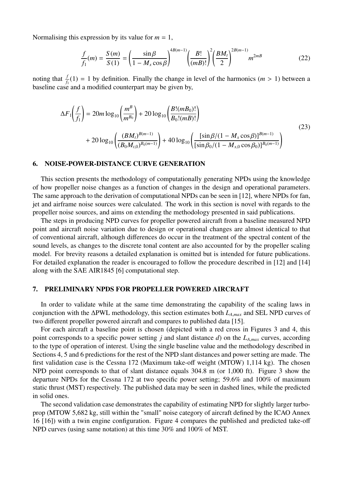Normalising this expression by its value for  $m = 1$ ,

$$
\frac{f}{f_1}(m) = \frac{S(m)}{S(1)} = \left(\frac{\sin\beta}{1 - M_x \cos\beta}\right)^{AB(m-1)} \left(\frac{B!}{(mB)!}\right)^2 \left(\frac{BM_t}{2}\right)^{2B(m-1)} m^{2mB}
$$
(22)

noting that  $\frac{f}{f_1}(1) = 1$  by definition. Finally the change in level of the harmonics (*m* > 1) between a baseline case and a modified counterpart may be given by,

$$
\Delta F_1\left(\frac{f}{f_1}\right) = 20m \log_{10}\left(\frac{m^B}{m^{B_0}}\right) + 20 \log_{10}\left(\frac{B!(mB_0)!}{B_0!(mB)!}\right) + 20 \log_{10}\left(\frac{(BM_t)^{B(m-1)}}{(B_0M_{t,0})^{B_0(m-1)}}\right) + 40 \log_{10}\left(\frac{[\sin\beta/(1 - M_x \cos\beta)]^{B(m-1)}}{[\sin\beta_0/(1 - M_{x,0} \cos\beta_0)]^{B_0(m-1)}}\right)
$$
(23)

#### <span id="page-9-0"></span>6. NOISE-POWER-DISTANCE CURVE GENERATION

This section presents the methodology of computationally generating NPDs using the knowledge of how propeller noise changes as a function of changes in the design and operational parameters. The same approach to the derivation of computational NPDs can be seen in [\[12\]](#page-12-3), where NPDs for fan, jet and airframe noise sources were calculated. The work in this section is novel with regards to the propeller noise sources, and aims on extending the methodology presented in said publications.

The steps in producing NPD curves for propeller powered aircraft from a baseline measured NPD point and aircraft noise variation due to design or operational changes are almost identical to that of conventional aircraft, although differences do occur in the treatment of the spectral content of the sound levels, as changes to the discrete tonal content are also accounted for by the propeller scaling model. For brevity reasons a detailed explanation is omitted but is intended for future publications. For detailed explanation the reader is encouraged to follow the procedure described in [\[12\]](#page-12-3) and [\[14\]](#page-12-5) along with the SAE AIR1845 [\[6\]](#page-11-5) computational step.

#### 7. PRELIMINARY NPDS FOR PROPELLER POWERED AIRCRAFT

In order to validate while at the same time demonstrating the capability of the scaling laws in conjunction with the <sup>∆</sup>PWL methodology, this section estimates both *<sup>L</sup><sup>A</sup>*,*max* and SEL NPD curves of two different propeller powered aircraft and compares to published data [\[15\]](#page-12-6).

For each aircraft a baseline point is chosen (depicted with a red cross in Figures [3](#page-10-0) and [4,](#page-10-1) this point corresponds to a specific power setting *<sup>j</sup>* and slant distance *<sup>d</sup>*) on the *<sup>L</sup><sup>A</sup>*,*max* curves, according to the type of operation of interest. Using the single baseline value and the methodology described in Sections [4,](#page-4-0) [5](#page-7-0) and [6](#page-9-0) predictions for the rest of the NPD slant distances and power setting are made. The first validation case is the Cessna 172 (Maximum take-off weight (MTOW) 1,114 kg). The chosen NPD point corresponds to that of slant distance equals 304.8 m (or 1,000 ft). Figure [3](#page-10-0) show the departure NPDs for the Cessna 172 at two specific power setting; 59.6% and 100% of maximum static thrust (MST) respectively. The published data may be seen in dashed lines, while the predicted in solid ones.

The second validation case demonstrates the capability of estimating NPD for slightly larger turboprop (MTOW 5,682 kg, still within the "small" noise category of aircraft defined by the ICAO Annex 16 [\[16\]](#page-12-7)) with a twin engine configuration. Figure [4](#page-10-1) compares the published and predicted take-off NPD curves (using same notation) at this time 30% and 100% of MST.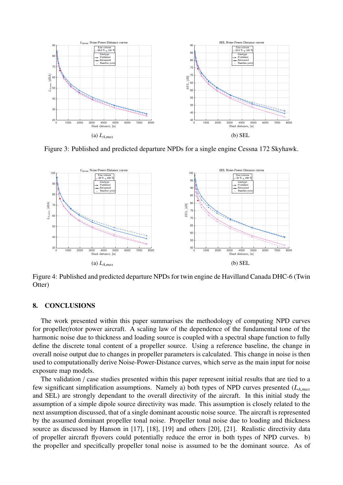<span id="page-10-0"></span>

Figure 3: Published and predicted departure NPDs for a single engine Cessna 172 Skyhawk.

<span id="page-10-1"></span>

Figure 4: Published and predicted departure NPDs for twin engine de Havilland Canada DHC-6 (Twin Otter)

#### 8. CONCLUSIONS

The work presented within this paper summarises the methodology of computing NPD curves for propeller/rotor power aircraft. A scaling law of the dependence of the fundamental tone of the harmonic noise due to thickness and loading source is coupled with a spectral shape function to fully define the discrete tonal content of a propeller source. Using a reference baseline, the change in overall noise output due to changes in propeller parameters is calculated. This change in noise is then used to computationally derive Noise-Power-Distance curves, which serve as the main input for noise exposure map models.

The validation / case studies presented within this paper represent initial results that are tied to a few significant simplification assumptions. Namely a) both types of NPD curves presented (*L<sup>A</sup>*,*max* and SEL) are strongly dependant to the overall directivity of the aircraft. In this initial study the assumption of a simple dipole source directivity was made. This assumption is closely related to the next assumption discussed, that of a single dominant acoustic noise source. The aircraft is represented by the assumed dominant propeller tonal noise. Propeller tonal noise due to loading and thickness source as discussed by Hanson in [\[17\]](#page-12-8), [\[18\]](#page-12-9), [\[19\]](#page-12-10) and others [\[20\]](#page-12-11), [\[21\]](#page-12-12). Realistic directivity data of propeller aircraft flyovers could potentially reduce the error in both types of NPD curves. b) the propeller and specifically propeller tonal noise is assumed to be the dominant source. As of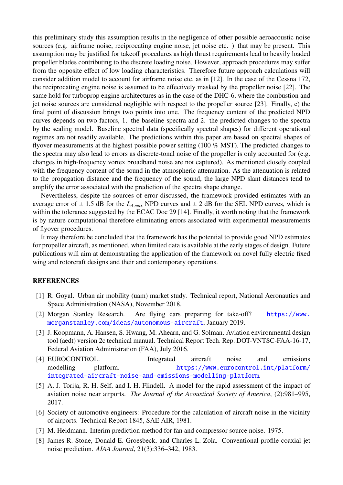this preliminary study this assumption results in the negligence of other possible aeroacoustic noise sources (e.g. airframe noise, reciprocating engine noise, jet noise etc. ) that may be present. This assumption may be justified for takeoff procedures as high thrust requirements lead to heavily loaded propeller blades contributing to the discrete loading noise. However, approach procedures may suffer from the opposite effect of low loading characteristics. Therefore future approach calculations will consider addition model to account for airframe noise etc, as in [\[12\]](#page-12-3). In the case of the Cessna 172, the reciprocating engine noise is assumed to be effectively masked by the propeller noise [\[22\]](#page-12-13). The same hold for turboprop engine architectures as in the case of the DHC-6, where the combustion and jet noise sources are considered negligible with respect to the propeller source [\[23\]](#page-12-14). Finally, c) the final point of discussion brings two points into one. The frequency content of the predicted NPD curves depends on two factors, 1. the baseline spectra and 2. the predicted changes to the spectra by the scaling model. Baseline spectral data (specifically spectral shapes) for different operational regimes are not readily available. The predictions within this paper are based on spectral shapes of flyover measurements at the highest possible power setting (100 % MST). The predicted changes to the spectra may also lead to errors as discrete-tonal noise of the propeller is only accounted for (e.g. changes in high-frequency vortex broadband noise are not captured). As mentioned closely coupled with the frequency content of the sound in the atmospheric attenuation. As the attenuation is related to the propagation distance and the frequency of the sound, the large NPD slant distances tend to amplify the error associated with the prediction of the spectra shape change.

Nevertheless, despite the sources of error discussed, the framework provided estimates with an average error of  $\pm$  1.5 dB for the  $L_{A,max}$  NPD curves and  $\pm$  2 dB for the SEL NPD curves, which is within the tolerance suggested by the ECAC Doc 29 [\[14\]](#page-12-5). Finally, it worth noting that the framework is by nature computational therefore eliminating errors associated with experimental measurements of flyover procedures.

It may therefore be concluded that the framework has the potential to provide good NPD estimates for propeller aircraft, as mentioned, when limited data is available at the early stages of design. Future publications will aim at demonstrating the application of the framework on novel fully electric fixed wing and rotorcraft designs and their and contemporary operations.

### **REFERENCES**

- <span id="page-11-0"></span>[1] R. Goyal. Urban air mobility (uam) market study. Technical report, National Aeronautics and Space Administration (NASA), November 2018.
- <span id="page-11-1"></span>[2] Morgan Stanley Research. Are flying cars preparing for take-off? [https://www.](https://www.morganstanley.com/ideas/autonomous-aircraft) [morganstanley.com/ideas/autonomous-aircraft](https://www.morganstanley.com/ideas/autonomous-aircraft), January 2019.
- <span id="page-11-2"></span>[3] J. Koopmann, A. Hansen, S. Hwang, M. Ahearn, and G. Solman. Aviation environmental design tool (aedt) version 2c technical manual. Technical Report Tech. Rep. DOT-VNTSC-FAA-16-17, Federal Aviation Administration (FAA), July 2016.
- <span id="page-11-3"></span>[4] EUROCONTROL. Integrated aircraft noise and emissions modelling platform. [https://www.eurocontrol.int/platform/](https://www.eurocontrol.int/platform/integrated-aircraft-noise-and-emissions-modelling-platform) [integrated-aircraft-noise-and-emissions-modelling-platform](https://www.eurocontrol.int/platform/integrated-aircraft-noise-and-emissions-modelling-platform).
- <span id="page-11-4"></span>[5] A. J. Torija, R. H. Self, and I. H. Flindell. A model for the rapid assessment of the impact of aviation noise near airports. *The Journal of the Acoustical Society of America*, (2):981–995, 2017.
- <span id="page-11-5"></span>[6] Society of automotive engineers: Procedure for the calculation of aircraft noise in the vicinity of airports. Technical Report 1845, SAE AIR, 1981.
- <span id="page-11-6"></span>[7] M. Heidmann. Interim prediction method for fan and compressor source noise. 1975.
- <span id="page-11-7"></span>[8] James R. Stone, Donald E. Groesbeck, and Charles L. Zola. Conventional profile coaxial jet noise prediction. *AIAA Journal*, 21(3):336–342, 1983.